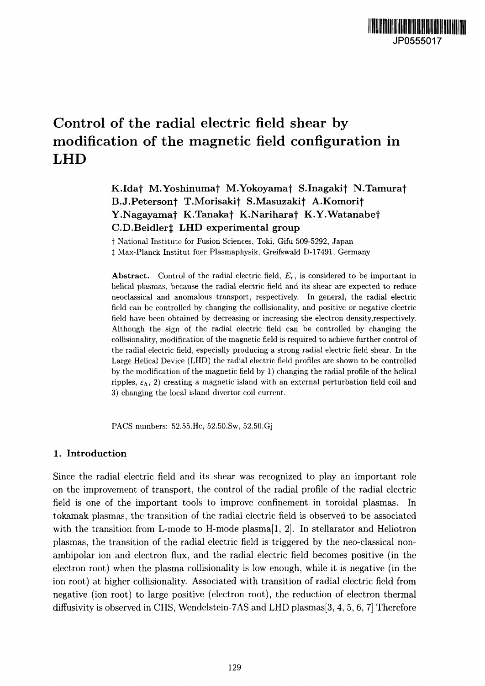# Control of the radial electric field shear by modification of the magnetic field configuration in LHD

K.Idaf M.Yoshinumaf M.Yokoyamaf S.Inagakif N.Tamuraf B.J.Petersonj T.Morisakif S.Masuzakif A.Komorif Y.Nagayamat K.Tanakaj K.Nariharat K.Y.Watanabej C.D.Beidlert LHD experimental group

f National Institute for Fusion Sciences, Toki, Gifu 509-5292, Japan *t* Max-Planck Institut fuer Plasmaphysik, Greifswald D-17491, Germany

**Abstract.** Control of the radial electric field, *E<sup>r</sup> ,* is considered to be important in helical plasmas, because the radial electric field and its shear are expected to reduce neoclassical and anomalous transport, respectively. In general, the radial electric field can be controlled by changing the collisionality, and positive or negative electric field have been obtained by decreasing or increasing the electron density,respectively. Although the sign of the radial electric field can be controlled by changing the collisionality, modification of the magnetic field is required to achieve further control of the radial electric field, especially producing a strong radial electric field shear. In the Large Helical Device (LHD) the radial electric field profiles are shown to be controlled by the modification of the magnetic field by 1) changing the radial profile of the helical ripples,  $\varepsilon_h$ , 2) creating a magnetic island with an external perturbation field coil and 3) changing the local island divertor coil current.

PACS numbers: 52.55.He, 52.50.Sw, 52.50.Gj

## **1. Introduction**

Since the radial electric field and its shear was recognized to play an important role on the improvement of transport, the control of the radial profile of the radial electric field is one of the important tools to improve confinement in toroidal plasmas. In tokamak plasmas, the transition of the radial electric field is observed to be associated with the transition from L-mode to H-mode plasma $[1, 2]$ . In stellarator and Heliotron plasmas, the transition of the radial electric field is triggered by the neo-classical nonambipolar ion and electron flux, and the radial electric field becomes positive (in the electron root) when the plasma collisionality is low enough, while it is negative (in the ion root) at higher collisionality. Associated with transition of radial electric field from negative (ion root) to large positive (electron root), the reduction of electron thermal diffusivity is observed in CHS, Wendelstein-7AS and LHD plasmas[3, 4, 5, 6, 7] Therefore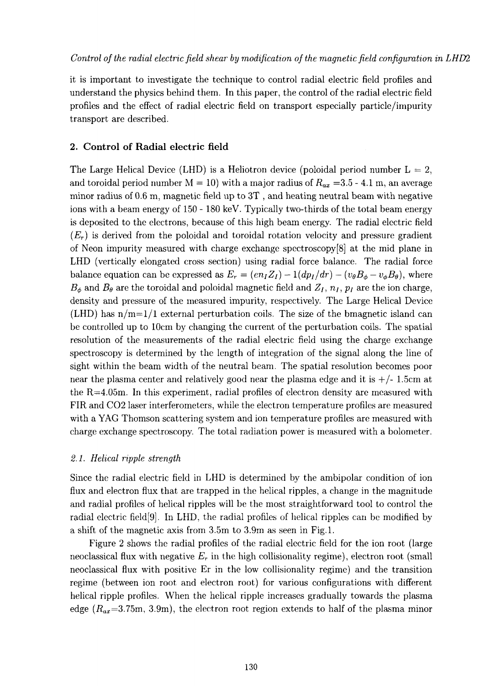it is important to investigate the technique to control radial electric field profiles and understand the physics behind them. In this paper, the control of the radial electric field profiles and the effect of radial electric field on transport especially particle/impurity transport are described.

# **2. Control of Radial electric field**

The Large Helical Device (LHD) is a Heliotron device (poloidal period number  $L = 2$ , and toroidal period number  $M = 10$ ) with a major radius of  $R_{ax} = 3.5 - 4.1$  m, an average minor radius of 0.6 m, magnetic field up to 3T , and heating neutral beam with negative ions with a beam energy of 150 - 180 keV. Typically two-thirds of the total beam energy is deposited to the electrons, because of this high beam energy. The radial electric field  $(E_r)$  is derived from the poloidal and toroidal rotation velocity and pressure gradient of Neon impurity measured with charge exchange spectroscopy[8] at the mid plane in LHD (vertically elongated cross section) using radial force balance. The radial force balance equation can be expressed as  $E_r = (en_I Z_I) - 1(dp_I/dr) - (v_{\theta}B_{\phi} - v_{\phi}B_{\theta})$ , where  $B_{\phi}$  and  $B_{\theta}$  are the toroidal and poloidal magnetic field and  $Z_I$ ,  $n_I$ ,  $p_I$  are the ion charge, density and pressure of the measured impurity, respectively. The Large Helical Device (LHD) has  $n/m=1/1$  external perturbation coils. The size of the bmagnetic island can be controlled up to 10cm by changing the current of the perturbation coils. The spatial resolution of the measurements of the radial electric field using the charge exchange spectroscopy is determined by the length of integration of the signal along the line of sight within the beam width of the neutral beam. The spatial resolution becomes poor near the plasma center and relatively good near the plasma edge and it is  $+/-1.5cm$  at the R=4.05m. In this experiment, radial profiles of electron density are measured with FIR and CO2 laser interferometers, while the electron temperature profiles are measured with a YAG Thomson scattering system and ion temperature profiles are measured with charge exchange spectroscopy. The total radiation power is measured with a bolometer.

# 2.1. Helical ripple strength

Since the radial electric field in LHD is determined by the ambipolar condition of ion flux and electron flux that are trapped in the helical ripples, a change in the magnitude and radial profiles of helical ripples will be the most straightforward tool to control the radial electric field[9]. In LHD, the radial profiles of helical ripples can be modified by a shift of the magnetic axis from 3.5m to 3.9m as seen in Fig.l.

Figure 2 shows the radial profiles of the radial electric field for the ion root (large neoclassical flux with negative  $E_r$  in the high collisionality regime), electron root (small neoclassical flux with positive Er in the low collisionality regime) and the transition regime (between ion root and electron root) for various configurations with different helical ripple profiles. When the helical ripple increases gradually towards the plasma edge  $(R_{ax}=3.75m, 3.9m)$ , the electron root region extends to half of the plasma minor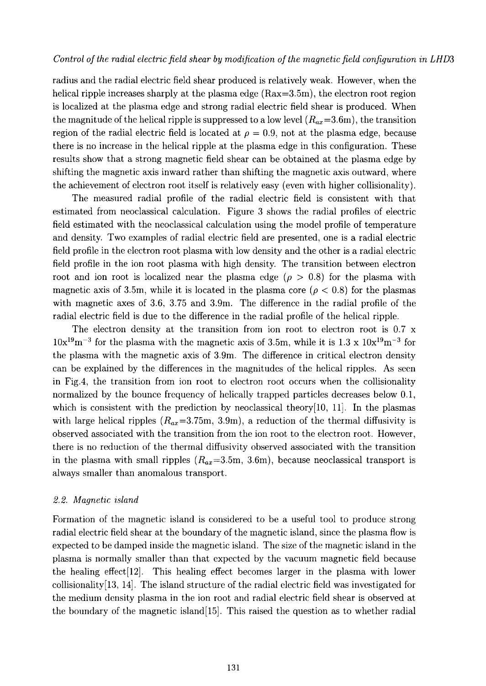#### *Control of the radial electric field shear by modification of the magnetic field configuration in LHD3*

radius and the radial electric field shear produced is relatively weak. However, when the helical ripple increases sharply at the plasma edge (Rax=3.5m), the electron root region is localized at the plasma edge and strong radial electric field shear is produced. When the magnitude of the helical ripple is suppressed to a low level  $(R_{ax}=3.6m)$ , the transition region of the radial electric field is located at  $\rho = 0.9$ , not at the plasma edge, because there is no increase in the helical ripple at the plasma edge in this configuration. These results show that a strong magnetic field shear can be obtained at the plasma edge by shifting the magnetic axis inward rather than shifting the magnetic axis outward, where the achievement of electron root itself is relatively easy (even with higher collisionality).

The measured radial profile of the radial electric field is consistent with that estimated from neoclassical calculation. Figure 3 shows the radial profiles of electric field estimated with the neoclassical calculation using the model profile of temperature and density. Two examples of radial electric field are presented, one is a radial electric field profile in the electron root plasma with low density and the other is a radial electric field profile in the ion root plasma with high density. The transition between electron root and ion root is localized near the plasma edge  $(\rho > 0.8)$  for the plasma with magnetic axis of 3.5m, while it is located in the plasma core ( $\rho < 0.8$ ) for the plasmas with magnetic axes of 3.6, 3.75 and 3.9m. The difference in the radial profile of the radial electric field is due to the difference in the radial profile of the helical ripple.

The electron density at the transition from ion root to electron root is 0.7 x  $10x^{19}m^{-3}$  for the plasma with the magnetic axis of 3.5m, while it is 1.3 x  $10x^{19}m^{-3}$  for the plasma with the magnetic axis of 3.9m. The difference in critical electron density can be explained by the differences in the magnitudes of the helical ripples. As seen in Fig.4, the transition from ion root to electron root occurs when the collisionality normalized by the bounce frequency of helically trapped particles decreases below 0.1, which is consistent with the prediction by neoclassical theory $[10, 11]$ . In the plasmas with large helical ripples  $(R_{ax}=3.75m, 3.9m)$ , a reduction of the thermal diffusivity is observed associated with the transition from the ion root to the electron root. However, there is no reduction of the thermal diffusivity observed associated with the transition in the plasma with small ripples  $(R_{ax}=3.5m, 3.6m)$ , because neoclassical transport is always smaller than anomalous transport.

#### *2.2. Magnetic island*

Formation of the magnetic island is considered to be a useful tool to produce strong radial electric field shear at the boundary of the magnetic island, since the plasma flow is expected to be damped inside the magnetic island. The size of the magnetic island in the plasma is normally smaller than that expected by the vacuum magnetic field because the healing effect $[12]$ . This healing effect becomes larger in the plasma with lower collisionality[13, 14]. The island structure of the radial electric field was investigated for the medium density plasma in the ion root and radial electric field shear is observed at the boundary of the magnetic island[15]. This raised the question as to whether radial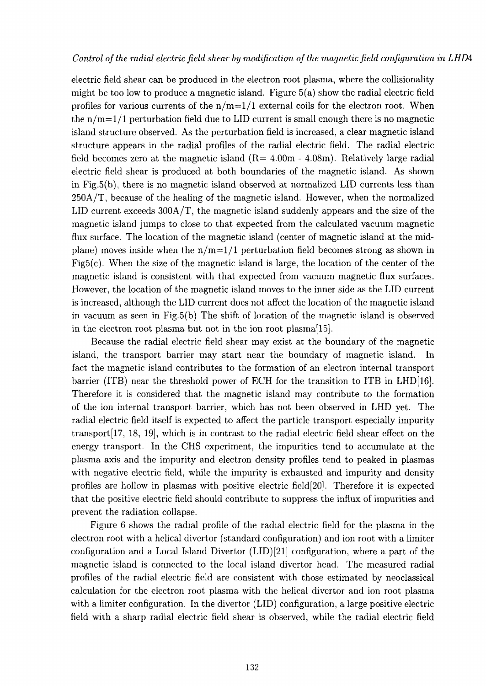## *Control of the radial electric field shear by modification of the magnetic field configuration in LHDA*

electric field shear can be produced in the electron root plasma, where the collisionality might be too low to produce a magnetic island. Figure 5(a) show the radial electric field profiles for various currents of the  $n/m=1/1$  external coils for the electron root. When the  $n/m=1/1$  perturbation field due to LID current is small enough there is no magnetic island structure observed. As the perturbation field is increased, a clear magnetic island structure appears in the radial profiles of the radial electric field. The radial electric field becomes zero at the magnetic island  $(R= 4.00m - 4.08m)$ . Relatively large radial electric field shear is produced at both boundaries of the magnetic island. As shown in Fig.5(b), there is no magnetic island observed at normalized LID currents less than 250A/T, because of the healing of the magnetic island. However, when the normalized LID current exceeds 300A/T, the magnetic island suddenly appears and the size of the magnetic island jumps to close to that expected from the calculated vacuum magnetic flux surface. The location of the magnetic island (center of magnetic island at the midplane) moves inside when the  $n/m=1/1$  perturbation field becomes strong as shown in Fig5(c). When the size of the magnetic island is large, the location of the center of the magnetic island is consistent with that expected from vacuum magnetic flux surfaces. However, the location of the magnetic island moves to the inner side as the LID current is increased, although the LID current does not affect the location of the magnetic island in vacuum as seen in Fig.5(b) The shift of location of the magnetic island is observed in the electron root plasma but not in the ion root plasma[15].

Because the radial electric field shear may exist at the boundary of the magnetic island, the transport barrier may start near the boundary of magnetic island. In fact the magnetic island contributes to the formation of an electron internal transport barrier (ITB) near the threshold power of ECH for the transition to ITB in LHD[16]. Therefore it is considered that the magnetic island may contribute to the formation of the ion internal transport barrier, which has not been observed in LHD yet. The radial electric field itself is expected to affect the particle transport especially impurity transport [17, 18, 19], which is in contrast to the radial electric field shear effect on the energy transport. In the CHS experiment, the impurities tend to accumulate at the plasma axis and the impurity and electron density profiles tend to peaked in plasmas with negative electric field, while the impurity is exhausted and impurity and density profiles are hollow in plasmas with positive electric field[20]. Therefore it is expected that the positive electric field should contribute to suppress the influx of impurities and prevent the radiation collapse.

Figure 6 shows the radial profile of the radial electric field for the plasma in the electron root with a helical divertor (standard configuration) and ion root with a limiter configuration and a Local Island Divertor (LID) [21] configuration, where a part of the magnetic island is connected to the local island divertor head. The measured radial profiles of the radial electric field are consistent with those estimated by neoclassical calculation for the electron root plasma with the helical divertor and ion root plasma with a limiter configuration. In the divertor (LID) configuration, a large positive electric field with a sharp radial electric field shear is observed, while the radial electric field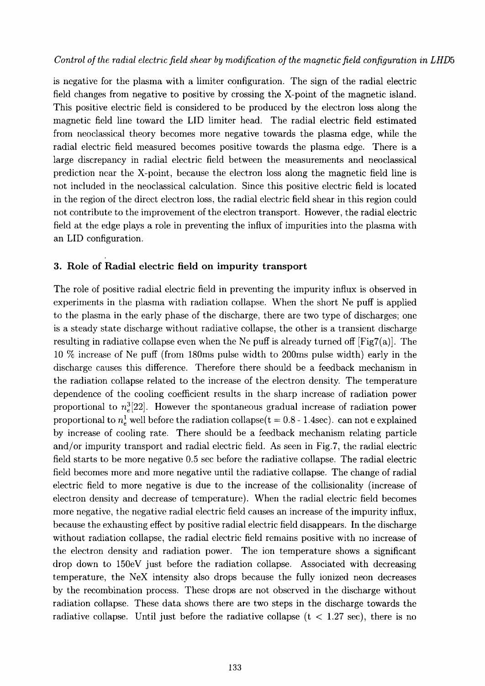is negative for the plasma with a limiter configuration. The sign of the radial electric field changes from negative to positive by crossing the X-point of the magnetic island. This positive electric field is considered to be produced by the electron loss along the magnetic field line toward the LID limiter head. The radial electric field estimated from neoclassical theory becomes more negative towards the plasma edge, while the radial electric field measured becomes positive towards the plasma edge. There is a large discrepancy in radial electric field between the measurements and neoclassical prediction near the X-point, because the electron loss along the magnetic field line is not included in the neoclassical calculation. Since this positive electric field is located in the region of the direct electron loss, the radial electric field shear in this region could not contribute to the improvement of the electron transport. However, the radial electric field at the edge plays a role in preventing the influx of impurities into the plasma with an LID configuration.

# **3. Role of Radial electric field on impurity transport**

The role of positive radial electric field in preventing the impurity influx is observed in experiments in the plasma with radiation collapse. When the short Ne puff is applied to the plasma in the early phase of the discharge, there are two type of discharges; one is a steady state discharge without radiative collapse, the other is a transient discharge resulting in radiative collapse even when the Ne puff is already turned off  $[Fig7(a)]$ . The 10 % increase of Ne puff (from 180ms pulse width to 200ms pulse width) early in the discharge causes this difference. Therefore there should be a feedback mechanism in the radiation collapse related to the increase of the electron density. The temperature dependence of the cooling coefficient results in the sharp increase of radiation power proportional to  $n_e^3[22]$ . However the spontaneous gradual increase of radiation power proportional to  $n_e^1$  well before the radiation collapse( $t = 0.8$  - 1.4sec). can not e explained by increase of cooling rate. There should be a feedback mechanism relating particle and/or impurity transport and radial electric field. As seen in Fig.7, the radial electric field starts to be more negative 0.5 sec before the radiative collapse. The radial electric field becomes more and more negative until the radiative collapse. The change of radial electric field to more negative is due to the increase of the collisionality (increase of electron density and decrease of temperature). When the radial electric field becomes more negative, the negative radial electric field causes an increase of the impurity influx, because the exhausting effect by positive radial electric field disappears. In the discharge without radiation collapse, the radial electric field remains positive with no increase of the electron density and radiation power. The ion temperature shows a significant drop down to 150eV just before the radiation collapse. Associated with decreasing temperature, the NeX intensity also drops because the fully ionized neon decreases by the recombination process. These drops are not observed in the discharge without radiation collapse. These data shows there are two steps in the discharge towards the radiative collapse. Until just before the radiative collapse  $(t < 1.27$  sec), there is no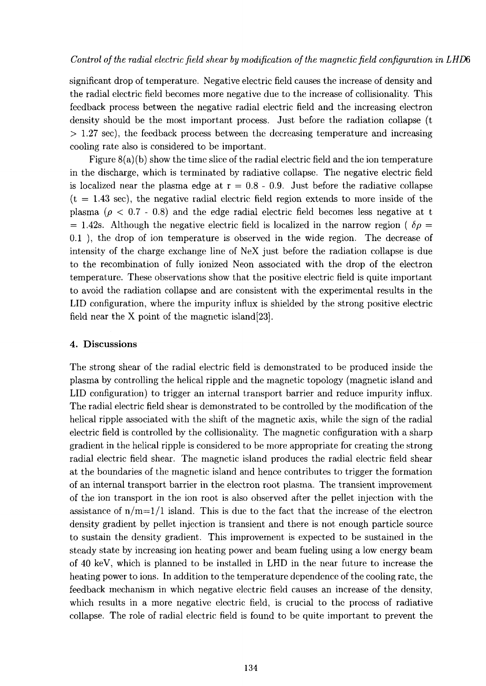significant drop of temperature. Negative electric field causes the increase of density and the radial electric field becomes more negative due to the increase of collisionality. This feedback process between the negative radial electric field and the increasing electron density should be the most important process. Just before the radiation collapse (t  $> 1.27$  sec), the feedback process between the decreasing temperature and increasing cooling rate also is considered to be important.

Figure  $8(a)(b)$  show the time slice of the radial electric field and the ion temperature in the discharge, which is terminated by radiative collapse. The negative electric field is localized near the plasma edge at  $r = 0.8 - 0.9$ . Just before the radiative collapse  $(t = 1.43 \text{ sec})$ , the negative radial electric field region extends to more inside of the plasma ( $\rho < 0.7$  - 0.8) and the edge radial electric field becomes less negative at t  $= 1.42$ s. Although the negative electric field is localized in the narrow region ( $\delta \rho =$ 0.1 ), the drop of ion temperature is observed in the wide region. The decrease of intensity of the charge exchange line of NeX just before the radiation collapse is due to the recombination of fully ionized Neon associated with the drop of the electron temperature. These observations show that the positive electric field is quite important to avoid the radiation collapse and are consistent with the experimental results in the **LID** configuration, where the impurity influx is shielded by the strong positive electric field near the X point of the magnetic island[23].

## **4. Discussions**

The strong shear of the radial electric field is demonstrated to be produced inside the plasma by controlling the helical ripple and the magnetic topology (magnetic island and **LID** configuration) to trigger an internal transport barrier and reduce impurity influx. The radial electric field shear is demonstrated to be controlled by the modification of the helical ripple associated with the shift of the magnetic axis, while the sign of the radial electric field is controlled by the collisionality. The magnetic configuration with a sharp gradient in the helical ripple is considered to be more appropriate for creating the strong radial electric field shear. The magnetic island produces the radial electric field shear at the boundaries of the magnetic island and hence contributes to trigger the formation of an internal transport barrier in the electron root plasma. The transient improvement of the ion transport in the ion root is also observed after the pellet injection with the assistance of  $n/m=1/1$  island. This is due to the fact that the increase of the electron density gradient by pellet injection is transient and there is not enough particle source to sustain the density gradient. This improvement is expected to be sustained in the steady state by increasing ion heating power and beam fueling using a low energy beam of 40 keV, which is planned to be installed in **LHD** in the near future to increase the heating power to ions. In addition to the temperature dependence of the cooling rate, the feedback mechanism in which negative electric field causes an increase of the density, which results in a more negative electric field, is crucial to the process of radiative collapse. The role of radial electric field is found to be quite important to prevent the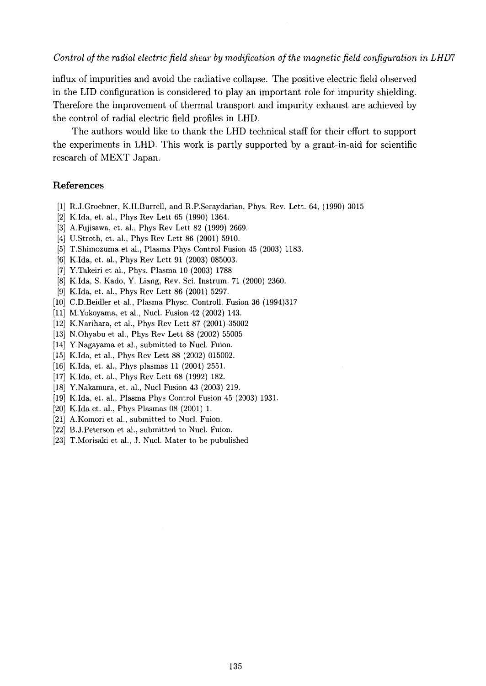*Control of the radial electric field shear by modification of the magnetic field configuration in LHD7*

influx of impurities and avoid the radiative collapse. The positive electric field observed in the **LID** configuration is considered to play an important role for impurity shielding. Therefore the improvement of thermal transport and impurity exhaust are achieved by the control of radial electric field profiles in LHD.

The authors would like to thank the **LHD** technical staff for their effort to support the experiments in LHD. This work is partly supported by a grant-in-aid for scientific research of MEXT Japan.

### **References**

- [1] R.J.Groebner, K.H.Burrell, and R.P.Seraydarian, Phys. Rev. Lett. 64, (1990) 3015
- [2] K.Ida, et. al., Phys Rev Lett 65 (1990) 1364.
- [3] A.Fujisawa, et. al., Phys Rev Lett 82 (1999) 2669.
- [4] U.Stroth, et. al., Phys Rev Lett 86 (2001) 5910.
- [5] T.Shimozuma et al., Plasma Phys Control Fusion 45 (2003) 1183.
- [6] K.Ida, et. al., Phys Rev Lett 91 (2003) 085003.
- [7] Y.Takeiri et al., Phys. Plasma 10 (2003) 1788
- [8] K.Ida, S. Kado, Y. Liang, Rev. Sci. Instrum. 71 (2000) 2360.
- [9] K.Ida, et. al., Phys Rev Lett 86 (2001) 5297.
- [10] C.D.Beidler et al., Plasma Physc. Controll. Fusion 36 (1994)317
- [11] M.Yokoyama, et al., Nucl. Fusion 42 (2002) 143.
- [12] K.Narihara, et al., Phys Rev Lett 87 (2001) 35002
- [13] N.Ohyabu et al., Phys Rev Lett 88 (2002) 55005
- [14] Y.Nagayama et al., submitted to Nucl. Fuion.
- [15] K.Ida, et al., Phys Rev Lett 88 (2002) 015002.
- [16] K.Ida, et. al., Phys plasmas 11 (2004) 2551.
- [17] K.Ida, et. al., Phys Rev Lett 68 (1992) 182.
- [18] Y.Nakamura, et. al., Nucl Fusion 43 (2003) 219.
- [19] K.Ida, et. al., Plasma Phys Control Fusion 45 (2003) 1931.
- [20] K.Ida et. al., Phys Plasmas 08 (2001) 1.
- [21] A.Komori et al., submitted to Nucl. Fuion.
- [22] B.J.Peterson et al., submitted to Nucl. Fuion.
- [23] T.Morisaki et al., J. Nucl. Mater to be pubulished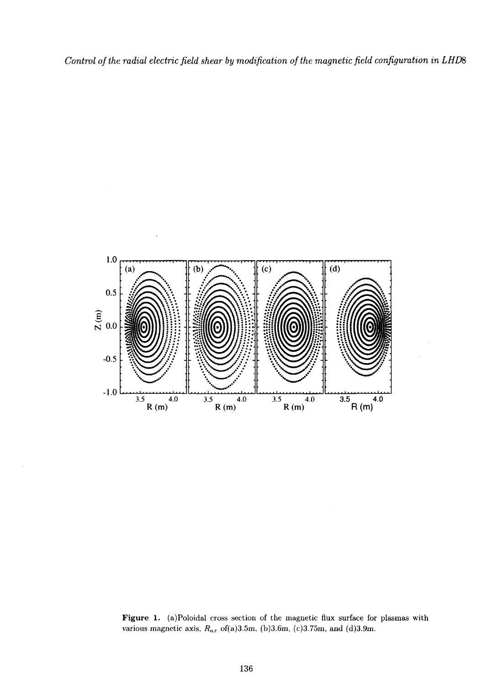*Control of the radial electric field shear by modification of the magnetic field configuration in LHDS*



**Figure 1.** (a)Poloidal cross section of the magnetic flux surface for plasmas with various magnetic axis, *Rax* of(a)3.5m, (b)3.6m, (c)3.75m, and (d)3.9m.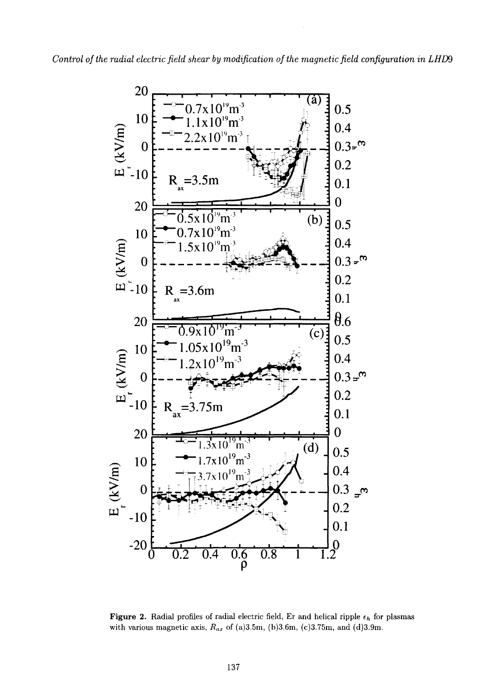

**Figure 2.** Radial profiles of radial electric field, Er and helical ripple  $\epsilon_h$  for plasmas with various magnetic axis, *Rax* of (a)3.5m, (b)3.6m, (c)3.75m, and (d)3.9m.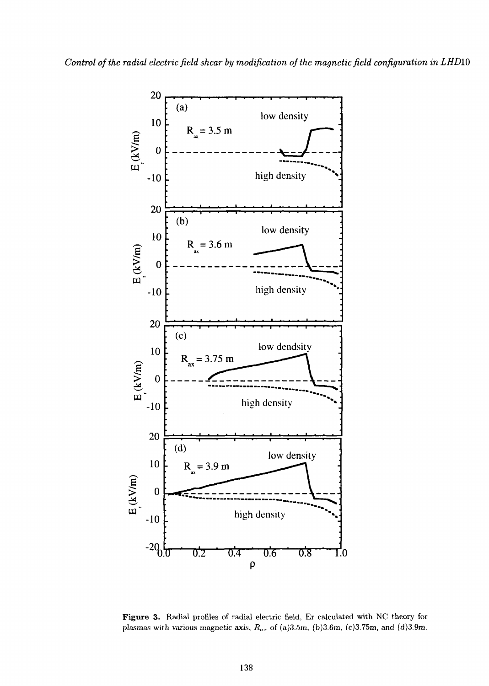

**Figure 3.** Radial profiles of radial electric field, Er calculated with NC theory for plasmas with various magnetic axis,  $R_{ax}$  of (a)3.5m, (b)3.6m, (c)3.75m, and (d)3.9m.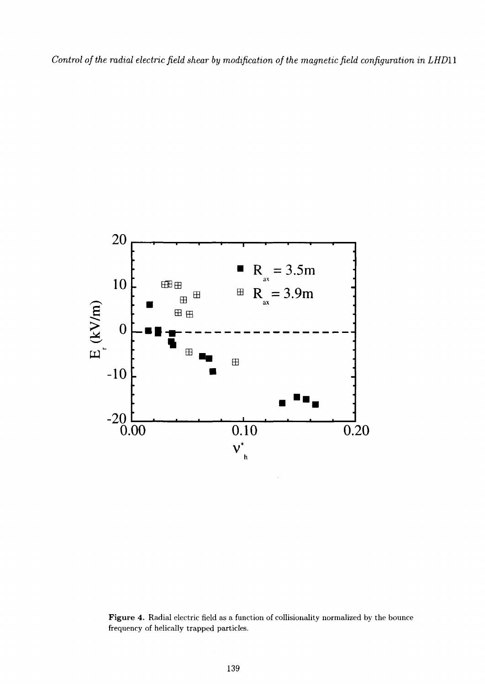*Control of the radial electric field shear by modification of the magnetic field configuration in LHD11*



**Figure 4.** Radial electric field as a function of collisionality normalized by the bounce frequency of helically trapped particles.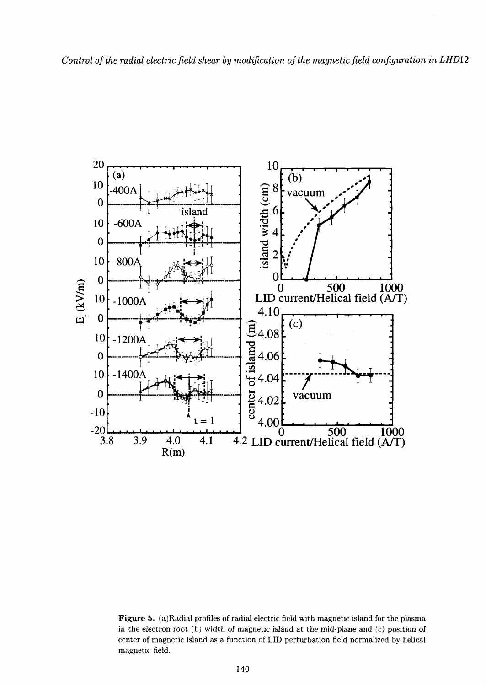

**Figure 5.** (a)Radial profiles of radial electric field with magnetic island for the plasma in the electron root (b) width of magnetic island at the mid-plane and  $(c)$  position of center of magnetic island as a function of LID perturbation field normalized by helical magnetic field.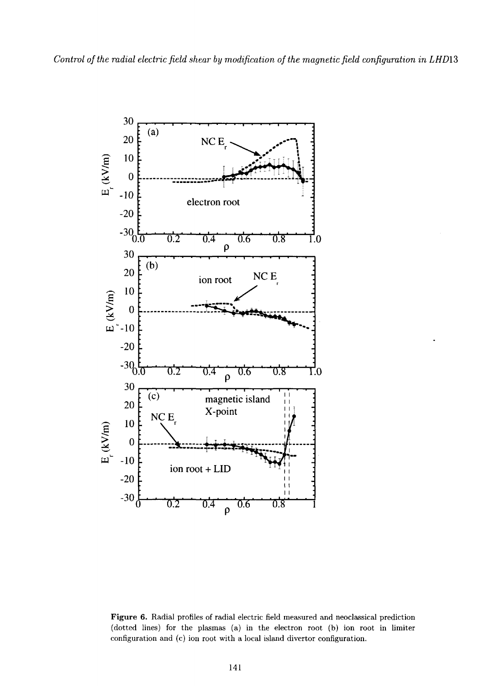

**Figure 6.** Radial profiles of radial electric field measured and neoclassical prediction (dotted lines) for the plasmas (a) in the electron root (b) ion root in limiter configuration and (c) ion root with a local island divertor configuration.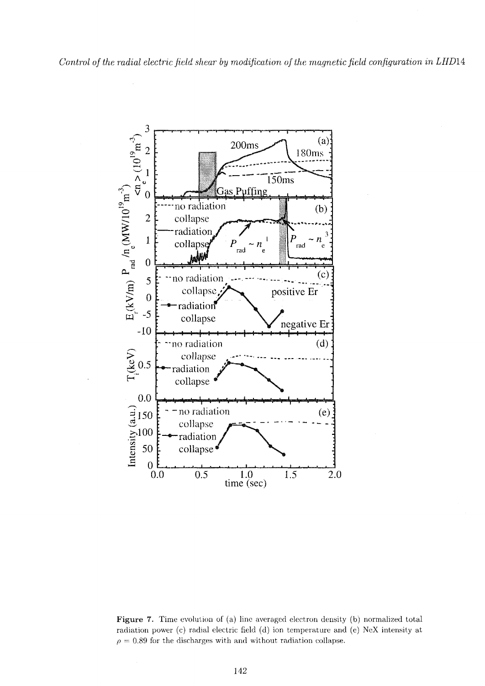

**Figure 7.** Time evolution of (a) line averaged electron density (b) normalized total radiation power (c) radial electric field (d) ion temperature and (e) NeX intensity at  $\rho = 0.89$  for the discharges with and without radiation collapse.